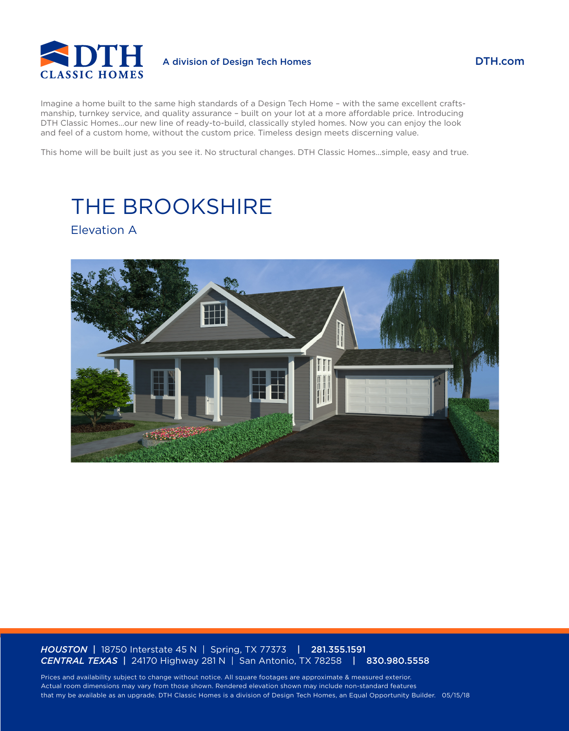

### DTH.com

Imagine a home built to the same high standards of a Design Tech Home – with the same excellent craftsmanship, turnkey service, and quality assurance – built on your lot at a more affordable price. Introducing DTH Classic Homes…our new line of ready-to-build, classically styled homes. Now you can enjoy the look and feel of a custom home, without the custom price. Timeless design meets discerning value.

This home will be built just as you see it. No structural changes. DTH Classic Homes…simple, easy and true.

# THE BROOKSHIRE

Elevation A



#### *HOUSTON* | 18750 Interstate 45 N | Spring, TX 77373 | 281.355.1591 *CENTRAL TEXAS* | 24170 Highway 281 N | San Antonio, TX 78258 | 830.980.5558

Prices and availability subject to change without notice. All square footages are approximate & measured exterior. Actual room dimensions may vary from those shown. Rendered elevation shown may include non-standard features that my be available as an upgrade. DTH Classic Homes is a division of Design Tech Homes, an Equal Opportunity Builder. 05/15/18